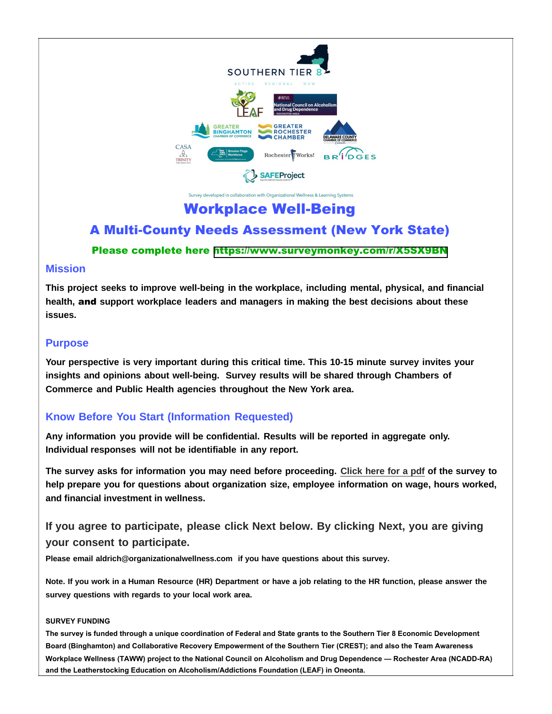

oped in collaboration with Organizational Wellness & Learning Systems

# Workplace Well-Being

## A Multi-County Needs Assessment (New York State)

## Please complete here <https://www.surveymonkey.com/r/X5SX9BN>

## **Mission**

**This project seeks to improve well-being in the workplace, including mental, physical, and financial health,** and **support workplace leaders and managers in making the best decisions about these issues.**

## **Purpose**

**Your perspective is very important during this critical time. This 10-15 minute survey invites your insights and opinions about well-being. Survey results will be shared through Chambers of Commerce and Public Health agencies throughout the New York area.**

## **Know Before You Start (Information Requested)**

**Any information you provide will be confidential. Results will be reported in aggregate only. Individual responses will not be identifiable in any report.** 

**The survey asks for information you may need before proceeding. Click here for a pdf of the survey to help prepare you for questions about organization size, employee information on wage, hours worked, and financial investment in wellness.**

## **If you agree to participate, please click Next below. By clicking Next, you are giving your consent to participate.**

**Please email aldrich@organizationalwellness.com if you have questions about this survey.** 

**Note. If you work in a Human Resource (HR) Department or have a job relating to the HR function, please answer the survey questions with regards to your local work area.**

### **SURVEY FUNDING**

**The survey is funded through a unique coordination of Federal and State grants to the Southern Tier 8 Economic Development Board (Binghamton) and Collaborative Recovery Empowerment of the Southern Tier (CREST); and also the Team Awareness Workplace Wellness (TAWW) project to the National Council on Alcoholism and Drug Dependence — Rochester Area (NCADD-RA) and the Leatherstocking Education on Alcoholism/Addictions Foundation (LEAF) in Oneonta.**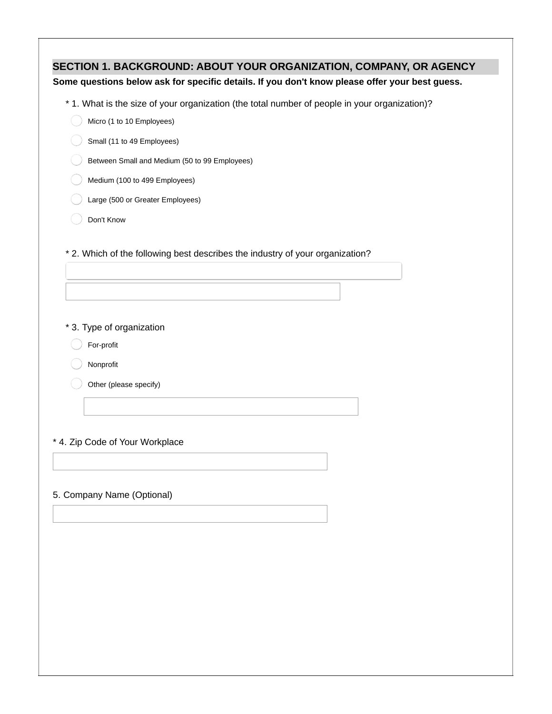| * 1. What is the size of your organization (the total number of people in your organization)?<br>Micro (1 to 10 Employees)<br>Small (11 to 49 Employees)<br>Between Small and Medium (50 to 99 Employees)<br>Medium (100 to 499 Employees)<br>Large (500 or Greater Employees)<br>Don't Know<br>* 2. Which of the following best describes the industry of your organization?<br>* 3. Type of organization<br>For-profit<br>Nonprofit<br>Other (please specify) |                                                                                                                                                                      |
|-----------------------------------------------------------------------------------------------------------------------------------------------------------------------------------------------------------------------------------------------------------------------------------------------------------------------------------------------------------------------------------------------------------------------------------------------------------------|----------------------------------------------------------------------------------------------------------------------------------------------------------------------|
|                                                                                                                                                                                                                                                                                                                                                                                                                                                                 | SECTION 1. BACKGROUND: ABOUT YOUR ORGANIZATION, COMPANY, OR AGENCY<br>Some questions below ask for specific details. If you don't know please offer your best guess. |
|                                                                                                                                                                                                                                                                                                                                                                                                                                                                 |                                                                                                                                                                      |
|                                                                                                                                                                                                                                                                                                                                                                                                                                                                 |                                                                                                                                                                      |
|                                                                                                                                                                                                                                                                                                                                                                                                                                                                 |                                                                                                                                                                      |
|                                                                                                                                                                                                                                                                                                                                                                                                                                                                 |                                                                                                                                                                      |
|                                                                                                                                                                                                                                                                                                                                                                                                                                                                 |                                                                                                                                                                      |
|                                                                                                                                                                                                                                                                                                                                                                                                                                                                 |                                                                                                                                                                      |
|                                                                                                                                                                                                                                                                                                                                                                                                                                                                 |                                                                                                                                                                      |
|                                                                                                                                                                                                                                                                                                                                                                                                                                                                 |                                                                                                                                                                      |
|                                                                                                                                                                                                                                                                                                                                                                                                                                                                 |                                                                                                                                                                      |
|                                                                                                                                                                                                                                                                                                                                                                                                                                                                 |                                                                                                                                                                      |
|                                                                                                                                                                                                                                                                                                                                                                                                                                                                 |                                                                                                                                                                      |
|                                                                                                                                                                                                                                                                                                                                                                                                                                                                 |                                                                                                                                                                      |
|                                                                                                                                                                                                                                                                                                                                                                                                                                                                 |                                                                                                                                                                      |
|                                                                                                                                                                                                                                                                                                                                                                                                                                                                 |                                                                                                                                                                      |
|                                                                                                                                                                                                                                                                                                                                                                                                                                                                 |                                                                                                                                                                      |
|                                                                                                                                                                                                                                                                                                                                                                                                                                                                 |                                                                                                                                                                      |
|                                                                                                                                                                                                                                                                                                                                                                                                                                                                 |                                                                                                                                                                      |
|                                                                                                                                                                                                                                                                                                                                                                                                                                                                 |                                                                                                                                                                      |
|                                                                                                                                                                                                                                                                                                                                                                                                                                                                 | * 4. Zip Code of Your Workplace                                                                                                                                      |
|                                                                                                                                                                                                                                                                                                                                                                                                                                                                 |                                                                                                                                                                      |
|                                                                                                                                                                                                                                                                                                                                                                                                                                                                 |                                                                                                                                                                      |
|                                                                                                                                                                                                                                                                                                                                                                                                                                                                 | 5. Company Name (Optional)                                                                                                                                           |
|                                                                                                                                                                                                                                                                                                                                                                                                                                                                 |                                                                                                                                                                      |
|                                                                                                                                                                                                                                                                                                                                                                                                                                                                 |                                                                                                                                                                      |
|                                                                                                                                                                                                                                                                                                                                                                                                                                                                 |                                                                                                                                                                      |
|                                                                                                                                                                                                                                                                                                                                                                                                                                                                 |                                                                                                                                                                      |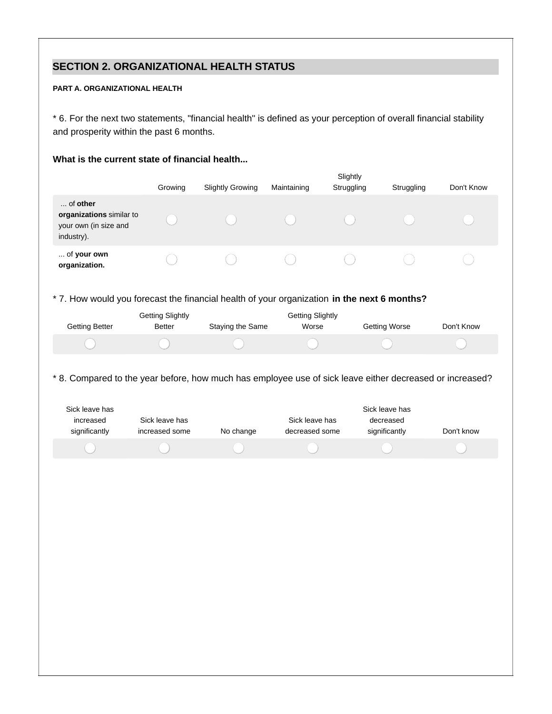## **SECTION 2. ORGANIZATIONAL HEALTH STATUS**

#### **PART A. ORGANIZATIONAL HEALTH**

\* 6. For the next two statements, "financial health" is defined as your perception of overall financial stability and prosperity within the past 6 months.

### **What is the current state of financial health...**

|                                                                                                                                                          | Growing                           | <b>Slightly Growing</b> | Maintaining                      | Slightly<br>Struggling | Struggling                                   | Don't Know |
|----------------------------------------------------------------------------------------------------------------------------------------------------------|-----------------------------------|-------------------------|----------------------------------|------------------------|----------------------------------------------|------------|
| of other<br>organizations similar to<br>your own (in size and<br>industry).                                                                              |                                   |                         |                                  |                        |                                              |            |
| of your own<br>organization.                                                                                                                             |                                   |                         |                                  |                        |                                              |            |
| * 7. How would you forecast the financial health of your organization in the next 6 months?                                                              |                                   |                         |                                  |                        |                                              |            |
| <b>Getting Better</b>                                                                                                                                    | <b>Getting Slightly</b><br>Better | Staying the Same        | <b>Getting Slightly</b><br>Worse |                        | <b>Getting Worse</b>                         | Don't Know |
|                                                                                                                                                          |                                   |                         |                                  |                        |                                              |            |
| * 8. Compared to the year before, how much has employee use of sick leave either decreased or increased?<br>Sick leave has<br>increased<br>significantly | Sick leave has<br>increased some  | No change               | Sick leave has<br>decreased some |                        | Sick leave has<br>decreased<br>significantly | Don't know |
|                                                                                                                                                          |                                   |                         |                                  |                        |                                              |            |
|                                                                                                                                                          |                                   |                         |                                  |                        |                                              |            |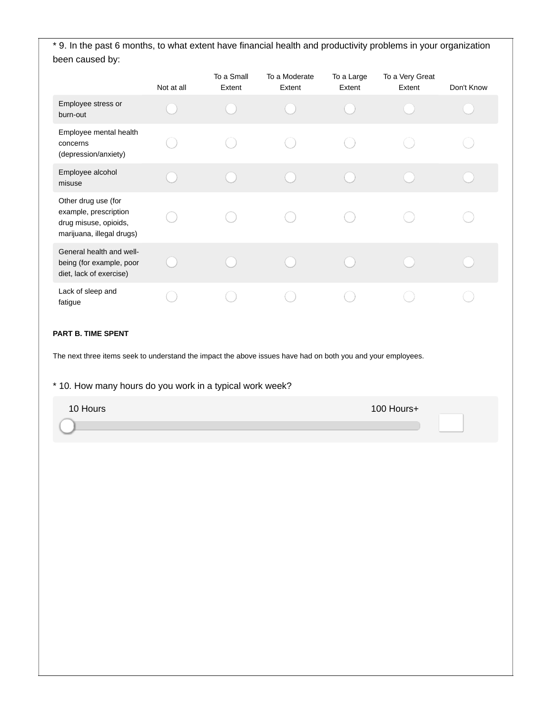\* 9. In the past 6 months, to what extent have financial health and productivity problems in your organization been caused by:

|                                                                                                    | Not at all | To a Small<br>Extent | To a Moderate<br>Extent | To a Large<br>Extent | To a Very Great<br>Extent | Don't Know |
|----------------------------------------------------------------------------------------------------|------------|----------------------|-------------------------|----------------------|---------------------------|------------|
| Employee stress or<br>burn-out                                                                     |            |                      |                         |                      |                           |            |
| Employee mental health<br>concerns<br>(depression/anxiety)                                         |            |                      |                         |                      |                           |            |
| Employee alcohol<br>misuse                                                                         |            |                      |                         |                      |                           |            |
| Other drug use (for<br>example, prescription<br>drug misuse, opioids,<br>marijuana, illegal drugs) |            |                      |                         |                      |                           |            |
| General health and well-<br>being (for example, poor<br>diet, lack of exercise)                    |            |                      |                         |                      |                           |            |
| Lack of sleep and<br>fatigue                                                                       |            |                      |                         |                      |                           |            |

### **PART B. TIME SPENT**

The next three items seek to understand the impact the above issues have had on both you and your employees.

### \* 10. How many hours do you work in a typical work week?

| 10 Hours | 100 Hours+ |  |
|----------|------------|--|
|          |            |  |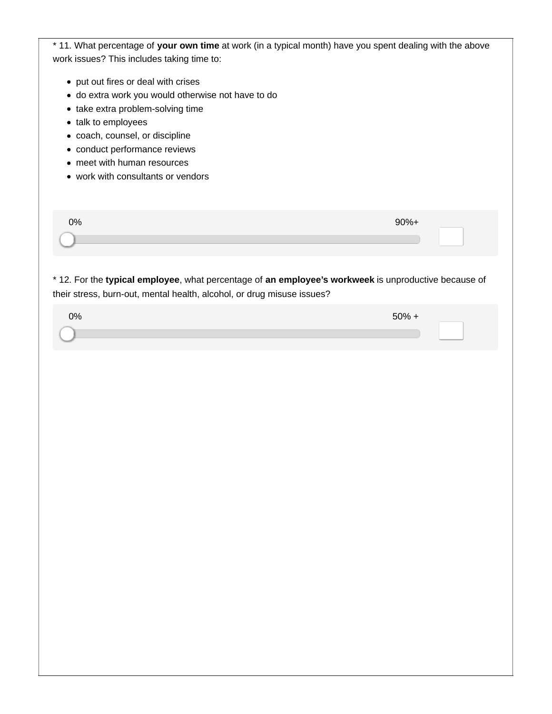| * 11. What percentage of your own time at work (in a typical month) have you spent dealing with the above |         |
|-----------------------------------------------------------------------------------------------------------|---------|
| work issues? This includes taking time to:                                                                |         |
|                                                                                                           |         |
| • put out fires or deal with crises<br>· do extra work you would otherwise not have to do                 |         |
| • take extra problem-solving time                                                                         |         |
| • talk to employees                                                                                       |         |
| · coach, counsel, or discipline                                                                           |         |
| • conduct performance reviews                                                                             |         |
| • meet with human resources                                                                               |         |
| • work with consultants or vendors                                                                        |         |
|                                                                                                           |         |
|                                                                                                           |         |
| 0%                                                                                                        | $90%+$  |
|                                                                                                           |         |
|                                                                                                           |         |
|                                                                                                           |         |
| * 12. For the typical employee, what percentage of an employee's workweek is unproductive because of      |         |
| their stress, burn-out, mental health, alcohol, or drug misuse issues?                                    |         |
| 0%                                                                                                        | $50% +$ |
|                                                                                                           |         |
|                                                                                                           |         |
|                                                                                                           |         |
|                                                                                                           |         |
|                                                                                                           |         |
|                                                                                                           |         |
|                                                                                                           |         |
|                                                                                                           |         |
|                                                                                                           |         |
|                                                                                                           |         |
|                                                                                                           |         |
|                                                                                                           |         |
|                                                                                                           |         |
|                                                                                                           |         |
|                                                                                                           |         |
|                                                                                                           |         |
|                                                                                                           |         |
|                                                                                                           |         |
|                                                                                                           |         |
|                                                                                                           |         |
|                                                                                                           |         |
|                                                                                                           |         |
|                                                                                                           |         |
|                                                                                                           |         |
|                                                                                                           |         |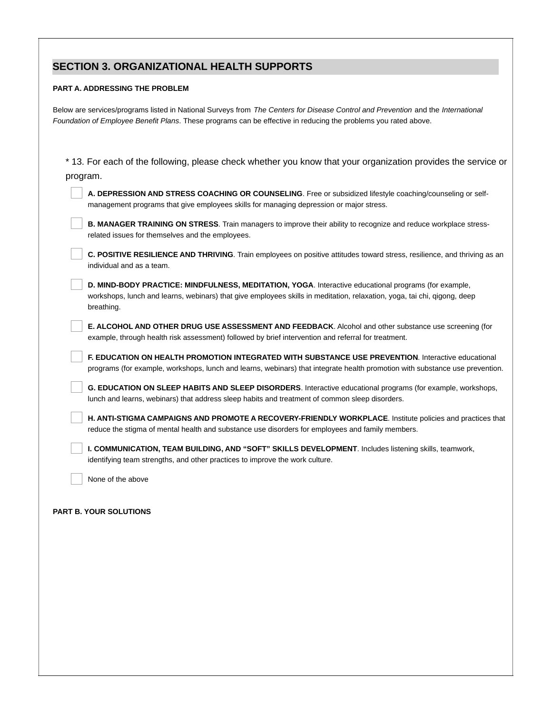## **SECTION 3. ORGANIZATIONAL HEALTH SUPPORTS**

#### **PART A. ADDRESSING THE PROBLEM**

Below are services/programs listed in National Surveys from *The Centers for Disease Control and Prevention* and the *International Foundation of Employee Benefit Plans*. These programs can be effective in reducing the problems you rated above.

| * 13. For each of the following, please check whether you know that your organization provides the service or                                                                                                                                  |  |
|------------------------------------------------------------------------------------------------------------------------------------------------------------------------------------------------------------------------------------------------|--|
| program.                                                                                                                                                                                                                                       |  |
| A. DEPRESSION AND STRESS COACHING OR COUNSELING. Free or subsidized lifestyle coaching/counseling or self-<br>management programs that give employees skills for managing depression or major stress.                                          |  |
| B. MANAGER TRAINING ON STRESS. Train managers to improve their ability to recognize and reduce workplace stress-<br>related issues for themselves and the employees.                                                                           |  |
| C. POSITIVE RESILIENCE AND THRIVING. Train employees on positive attitudes toward stress, resilience, and thriving as an<br>individual and as a team.                                                                                          |  |
| D. MIND-BODY PRACTICE: MINDFULNESS, MEDITATION, YOGA. Interactive educational programs (for example,<br>workshops, lunch and learns, webinars) that give employees skills in meditation, relaxation, yoga, tai chi, qigong, deep<br>breathing. |  |
| E. ALCOHOL AND OTHER DRUG USE ASSESSMENT AND FEEDBACK. Alcohol and other substance use screening (for<br>example, through health risk assessment) followed by brief intervention and referral for treatment.                                   |  |
| F. EDUCATION ON HEALTH PROMOTION INTEGRATED WITH SUBSTANCE USE PREVENTION. Interactive educational<br>programs (for example, workshops, lunch and learns, webinars) that integrate health promotion with substance use prevention.             |  |
| G. EDUCATION ON SLEEP HABITS AND SLEEP DISORDERS. Interactive educational programs (for example, workshops,<br>lunch and learns, webinars) that address sleep habits and treatment of common sleep disorders.                                  |  |
| H. ANTI-STIGMA CAMPAIGNS AND PROMOTE A RECOVERY-FRIENDLY WORKPLACE. Institute policies and practices that<br>reduce the stigma of mental health and substance use disorders for employees and family members.                                  |  |
| I. COMMUNICATION, TEAM BUILDING, AND "SOFT" SKILLS DEVELOPMENT. Includes listening skills, teamwork,<br>identifying team strengths, and other practices to improve the work culture.                                                           |  |
| None of the above                                                                                                                                                                                                                              |  |

#### **PART B. YOUR SOLUTIONS**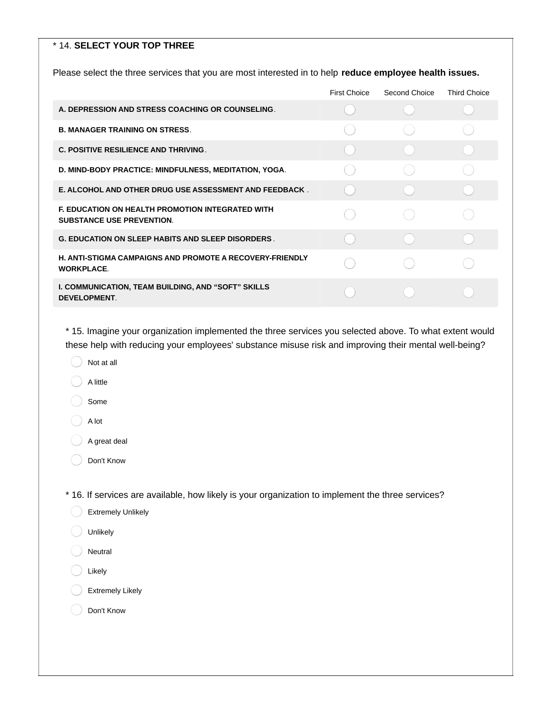#### \* 14. **SELECT YOUR TOP THREE**

Please select the three services that you are most interested in to help **reduce employee health issues.**

|                                                                                             | First Choice | Second Choice | <b>Third Choice</b> |
|---------------------------------------------------------------------------------------------|--------------|---------------|---------------------|
| A. DEPRESSION AND STRESS COACHING OR COUNSELING.                                            |              |               |                     |
| <b>B. MANAGER TRAINING ON STRESS.</b>                                                       |              |               |                     |
| <b>C. POSITIVE RESILIENCE AND THRIVING.</b>                                                 |              |               |                     |
| D. MIND-BODY PRACTICE: MINDFULNESS, MEDITATION, YOGA.                                       |              |               |                     |
| E. ALCOHOL AND OTHER DRUG USE ASSESSMENT AND FEEDBACK.                                      |              |               |                     |
| <b>E. EDUCATION ON HEALTH PROMOTION INTEGRATED WITH</b><br><b>SUBSTANCE USE PREVENTION.</b> |              |               |                     |
| <b>G. EDUCATION ON SLEEP HABITS AND SLEEP DISORDERS.</b>                                    |              |               |                     |
| <b>H. ANTI-STIGMA CAMPAIGNS AND PROMOTE A RECOVERY-FRIENDLY</b><br><b>WORKPLACE.</b>        |              |               |                     |
| I. COMMUNICATION, TEAM BUILDING, AND "SOFT" SKILLS<br><b>DEVELOPMENT.</b>                   |              |               |                     |

\* 15. Imagine your organization implemented the three services you selected above. To what extent would these help with reducing your employees' substance misuse risk and improving their mental well-being?

- Not at all
- A little

Some

A lot

A great deal

Don't Know

\* 16. If services are available, how likely is your organization to implement the three services?

| <b>Extremely Unlikely</b> |  |
|---------------------------|--|
|                           |  |

- Unlikely
- Neutral
- Likely
- Extremely Likely
- Don't Know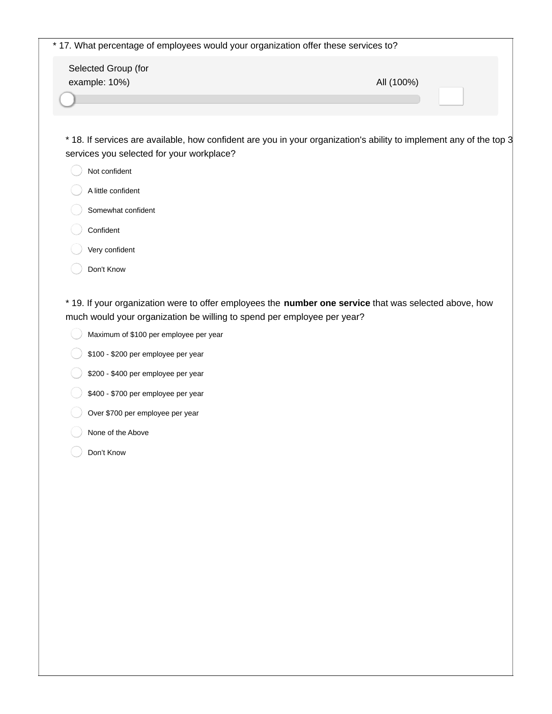| * 17. What percentage of employees would your organization offer these services to?                                                                              |            |
|------------------------------------------------------------------------------------------------------------------------------------------------------------------|------------|
| Selected Group (for<br>example: 10%)                                                                                                                             | All (100%) |
| * 18. If services are available, how confident are you in your organization's ability to implement any of the top 3<br>services you selected for your workplace? |            |
| Not confident<br>A little confident                                                                                                                              |            |
| Somewhat confident                                                                                                                                               |            |

- Confident
- Very confident
- Don't Know

\* 19. If your organization were to offer employees the **number one service** that was selected above, how much would your organization be willing to spend per employee per year?

- Maximum of \$100 per employee per year  $($
- $\big)$  \$100 \$200 per employee per year
- $\big)$  \$200 \$400 per employee per year
- \$400 \$700 per employee per year
- Over \$700 per employee per year
- None of the Above
- Don't Know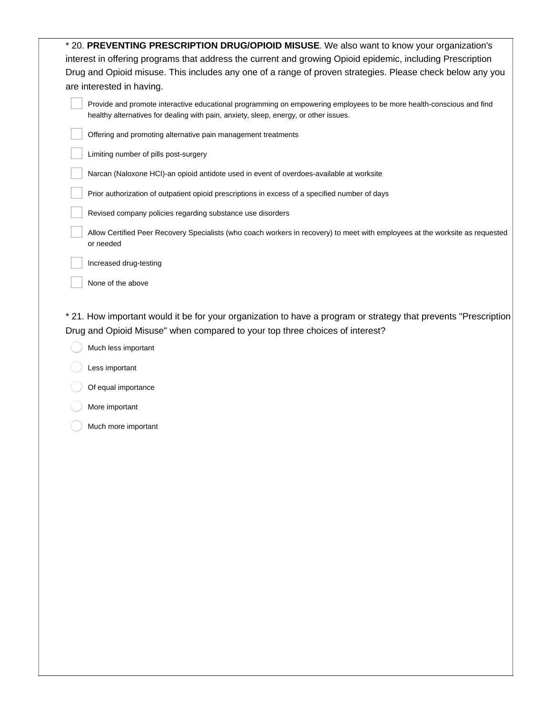| * 20. PREVENTING PRESCRIPTION DRUG/OPIOID MISUSE. We also want to know your organization's                                                                                                                   |
|--------------------------------------------------------------------------------------------------------------------------------------------------------------------------------------------------------------|
| interest in offering programs that address the current and growing Opioid epidemic, including Prescription                                                                                                   |
| Drug and Opioid misuse. This includes any one of a range of proven strategies. Please check below any you                                                                                                    |
| are interested in having.                                                                                                                                                                                    |
| Provide and promote interactive educational programming on empowering employees to be more health-conscious and find<br>healthy alternatives for dealing with pain, anxiety, sleep, energy, or other issues. |
| Offering and promoting alternative pain management treatments                                                                                                                                                |
| Limiting number of pills post-surgery                                                                                                                                                                        |
| Narcan (Naloxone HCI)-an opioid antidote used in event of overdoes-available at worksite                                                                                                                     |
| Prior authorization of outpatient opioid prescriptions in excess of a specified number of days                                                                                                               |
| Revised company policies regarding substance use disorders                                                                                                                                                   |
| Allow Certified Peer Recovery Specialists (who coach workers in recovery) to meet with employees at the worksite as requested<br>or needed                                                                   |
| Increased drug-testing                                                                                                                                                                                       |
| None of the above                                                                                                                                                                                            |
| Drug and Opioid Misuse" when compared to your top three choices of interest?<br>Much less important                                                                                                          |
| Less important                                                                                                                                                                                               |
| Of equal importance                                                                                                                                                                                          |
| More important                                                                                                                                                                                               |
| Much more important                                                                                                                                                                                          |
|                                                                                                                                                                                                              |
|                                                                                                                                                                                                              |
|                                                                                                                                                                                                              |
|                                                                                                                                                                                                              |
|                                                                                                                                                                                                              |
|                                                                                                                                                                                                              |
|                                                                                                                                                                                                              |
|                                                                                                                                                                                                              |
|                                                                                                                                                                                                              |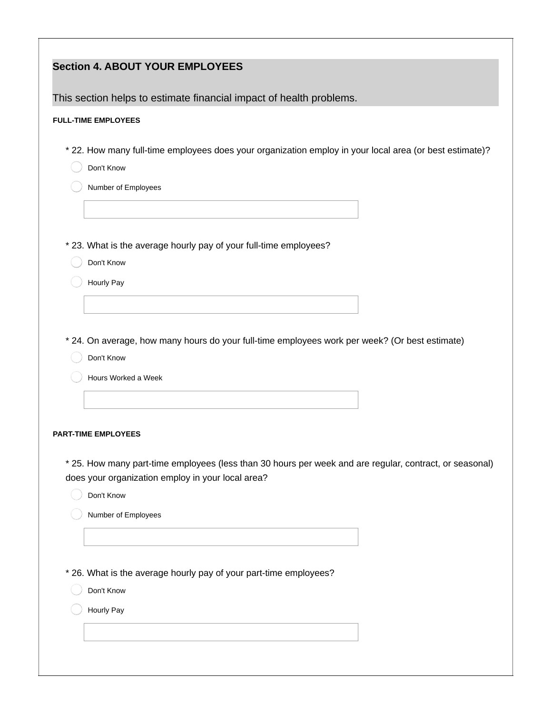| <b>Section 4. ABOUT YOUR EMPLOYEES</b>                                                                                                                       |
|--------------------------------------------------------------------------------------------------------------------------------------------------------------|
| This section helps to estimate financial impact of health problems.                                                                                          |
| <b>FULL-TIME EMPLOYEES</b>                                                                                                                                   |
| * 22. How many full-time employees does your organization employ in your local area (or best estimate)?                                                      |
| Don't Know                                                                                                                                                   |
| Number of Employees                                                                                                                                          |
|                                                                                                                                                              |
|                                                                                                                                                              |
| * 23. What is the average hourly pay of your full-time employees?                                                                                            |
| Don't Know<br>Hourly Pay                                                                                                                                     |
|                                                                                                                                                              |
|                                                                                                                                                              |
| * 24. On average, how many hours do your full-time employees work per week? (Or best estimate)                                                               |
| Don't Know                                                                                                                                                   |
| Hours Worked a Week                                                                                                                                          |
|                                                                                                                                                              |
| <b>PART-TIME EMPLOYEES</b>                                                                                                                                   |
|                                                                                                                                                              |
| * 25. How many part-time employees (less than 30 hours per week and are regular, contract, or seasonal)<br>does your organization employ in your local area? |
| Don't Know                                                                                                                                                   |
| Number of Employees                                                                                                                                          |
|                                                                                                                                                              |
|                                                                                                                                                              |
| * 26. What is the average hourly pay of your part-time employees?                                                                                            |
| Don't Know                                                                                                                                                   |
| Hourly Pay                                                                                                                                                   |
|                                                                                                                                                              |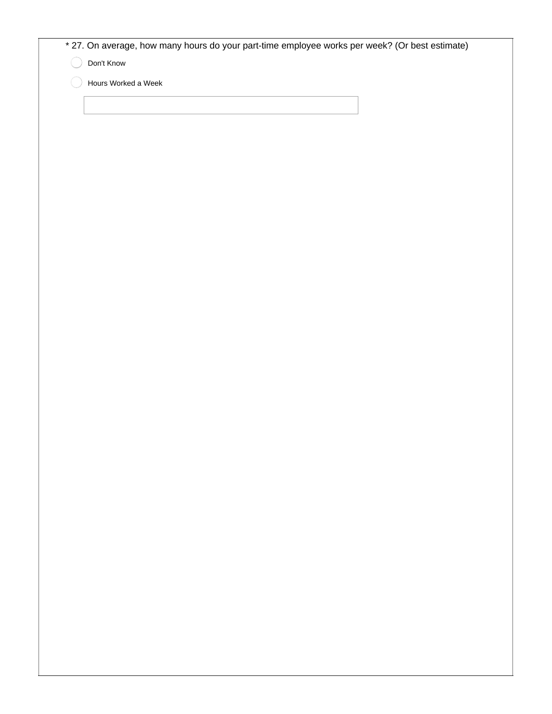|  |  |  |  |  |  |  | * 27. On average, how many hours do your part-time employee works per week? (Or best estimate) |
|--|--|--|--|--|--|--|------------------------------------------------------------------------------------------------|
|--|--|--|--|--|--|--|------------------------------------------------------------------------------------------------|

Don't Know

Hours Worked a Week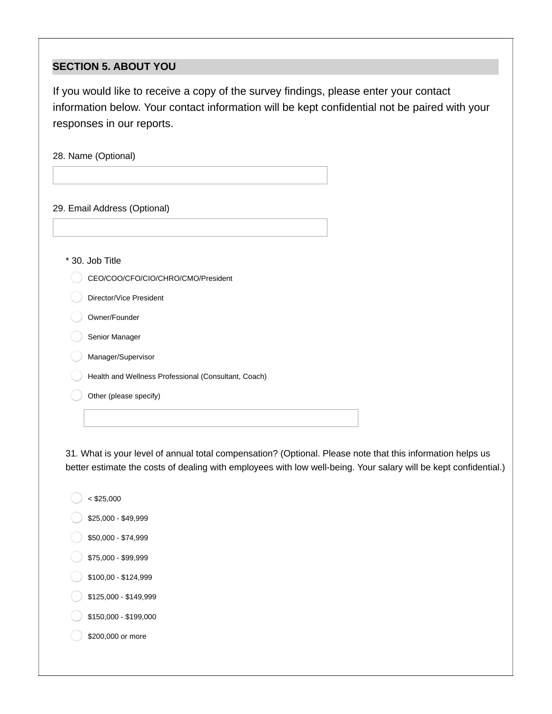## **SECTION 5. ABOUT YOU**

If you would like to receive a copy of the survey findings, please enter your contact information below. Your contact information will be kept confidential not be paired with your responses in our reports.

28. Name (Optional)

29. Email Address (Optional)

\* 30. Job Title

CEO/COO/CFO/CIO/CHRO/CMO/President

Director/Vice President

Owner/Founder

Senior Manager

Manager/Supervisor

Health and Wellness Professional (Consultant, Coach)

Other (please specify)

31. What is your level of annual total compensation? (Optional. Please note that this information helps us better estimate the costs of dealing with employees with low well-being. Your salary will be kept confidential.)

- $<$  \$25,000
- \$25,000 \$49,999
- \$50,000 \$74,999
- \$75,000 \$99,999
- \$100,00 \$124,999
- \$125,000 \$149,999
- \$150,000 \$199,000

\$200,000 or more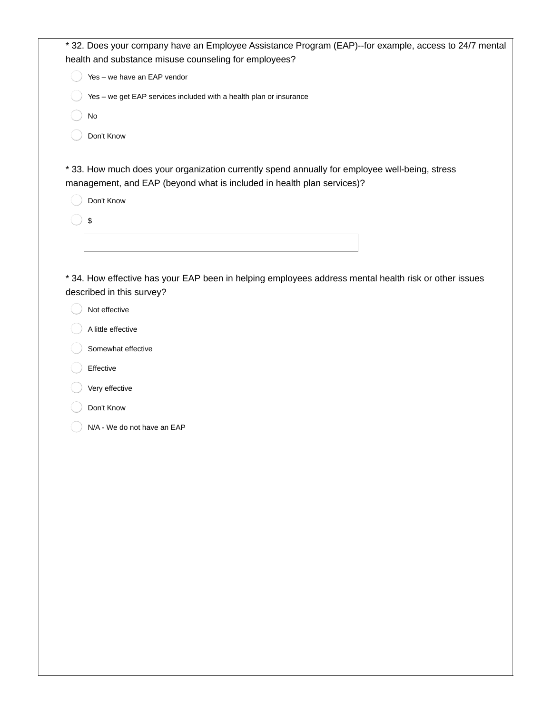| * 32. Does your company have an Employee Assistance Program (EAP)--for example, access to 24/7 mental<br>health and substance misuse counseling for employees? |
|----------------------------------------------------------------------------------------------------------------------------------------------------------------|
| Yes - we have an EAP vendor                                                                                                                                    |
| Yes - we get EAP services included with a health plan or insurance                                                                                             |
| No                                                                                                                                                             |
| Don't Know                                                                                                                                                     |
|                                                                                                                                                                |
| * 33. How much does your organization currently spend annually for employee well-being, stress                                                                 |
| management, and EAP (beyond what is included in health plan services)?                                                                                         |
| Don't Know                                                                                                                                                     |
| \$                                                                                                                                                             |
|                                                                                                                                                                |
|                                                                                                                                                                |
| * 34. How effective has your EAP been in helping employees address mental health risk or other issues<br>described in this survey?                             |
| Not effective                                                                                                                                                  |
| A little effective                                                                                                                                             |
| Somewhat effective                                                                                                                                             |
|                                                                                                                                                                |
| Effective                                                                                                                                                      |
| Very effective                                                                                                                                                 |
| Don't Know                                                                                                                                                     |
| N/A - We do not have an EAP                                                                                                                                    |
|                                                                                                                                                                |
|                                                                                                                                                                |
|                                                                                                                                                                |
|                                                                                                                                                                |
|                                                                                                                                                                |
|                                                                                                                                                                |
|                                                                                                                                                                |
|                                                                                                                                                                |
|                                                                                                                                                                |
|                                                                                                                                                                |
|                                                                                                                                                                |
|                                                                                                                                                                |
|                                                                                                                                                                |